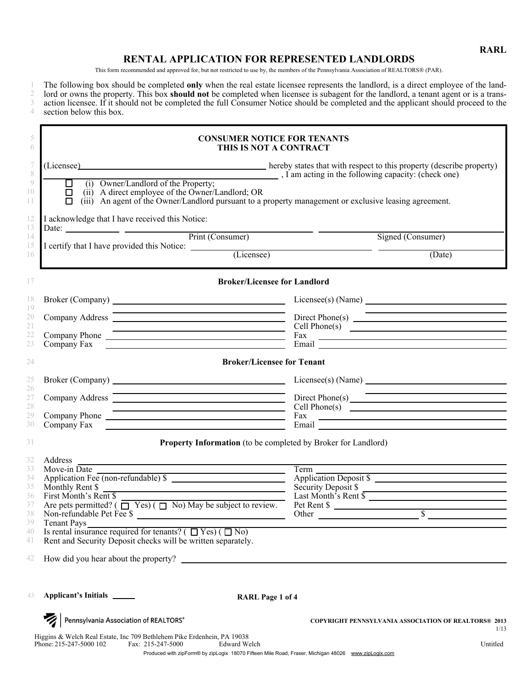**RARL**

# **RENTAL APPLICATION FOR REPRESENTED LANDLORDS**

This form recommended and approved for, but not restricted to use by, the members of the Pennsylvania Association of REALTORS® (PAR).

1

2 3 4 The following box should be completed **only** when the real estate licensee represents the landlord, is a direct employee of the landlord or owns the property. This box **should not** be completed when licensee is subagent for the landlord, a tenant agent or is a transaction licensee. If it should not be completed the full Consumer Notice should be completed and the applicant should proceed to the section below this box.

| <b>CONSUMER NOTICE FOR TENANTS</b><br>THIS IS NOT A CONTRACT                                                                                                                                                                                                                                                                                                                                                         |                                                                                                                                                                                                                                      |  |  |  |  |
|----------------------------------------------------------------------------------------------------------------------------------------------------------------------------------------------------------------------------------------------------------------------------------------------------------------------------------------------------------------------------------------------------------------------|--------------------------------------------------------------------------------------------------------------------------------------------------------------------------------------------------------------------------------------|--|--|--|--|
| (Licensee) hereby states that with respect to this property (describe property)<br>$\overline{\phantom{a}}$ , I am acting in the following capacity: (check one)                                                                                                                                                                                                                                                     |                                                                                                                                                                                                                                      |  |  |  |  |
| $\Box$ (i) Owner/Landlord of the Property;<br>(ii) A direct employee of the Owner/Landlord; OR<br>$\Box$<br>(iii) An agent of the Owner/Landlord pursuant to a property management or exclusive leasing agreement.                                                                                                                                                                                                   |                                                                                                                                                                                                                                      |  |  |  |  |
| I acknowledge that I have received this Notice:                                                                                                                                                                                                                                                                                                                                                                      |                                                                                                                                                                                                                                      |  |  |  |  |
| Date: $\frac{1}{\sqrt{1-\frac{1}{1-\frac{1}{1-\frac{1}{1-\frac{1}{1-\frac{1}{1-\frac{1}{1-\frac{1}{1-\frac{1}{1-\frac{1}{1-\frac{1}{1-\frac{1}{1-\frac{1}{1-\frac{1}{1-\frac{1}{1-\frac{1}{1-\frac{1}{1-\frac{1}{1-\frac{1}{1-\frac{1}{1-\frac{1}{1-\frac{1}{1-\frac{1}{1-\frac{1}{1-\frac{1}{1-\frac{1}{1-\frac{1}{1-\frac{1}{1-\frac{1}{1-\frac{1}{1-\frac{1}{1-\frac{1}{1-\frac{1}{1-\frac{1}{1-\frac{1}{1-\$     | <u> The Common School and Common School and Common School and Common School and Common School and Common School and</u><br>Signed (Consumer)                                                                                         |  |  |  |  |
| I certify that I have provided this Notice: (Licensee)                                                                                                                                                                                                                                                                                                                                                               | (Date)                                                                                                                                                                                                                               |  |  |  |  |
| <b>Broker/Licensee for Landlord</b>                                                                                                                                                                                                                                                                                                                                                                                  |                                                                                                                                                                                                                                      |  |  |  |  |
|                                                                                                                                                                                                                                                                                                                                                                                                                      |                                                                                                                                                                                                                                      |  |  |  |  |
| <u> 1989 - Johann Barn, amerikansk politiker (d. 1989)</u><br>Company Address <b>Company Address</b>                                                                                                                                                                                                                                                                                                                 | <u> 1989 - Johann Stein, mars an deus an deus Amerikaanse komme en de Fryske komme</u><br>Direct Phone(s) $\overline{\qquad \qquad }$                                                                                                |  |  |  |  |
| Company Phone                                                                                                                                                                                                                                                                                                                                                                                                        | Cell Phone(s)                                                                                                                                                                                                                        |  |  |  |  |
| Company Fax The Company of Table 1987                                                                                                                                                                                                                                                                                                                                                                                | Fax Email <u>Executive Contract of the Contract of the Contract of the Contract of the Contract of the Contract of the Contract of the Contract of the Contract of the Contract of the Contract of the Contract of the Contract </u> |  |  |  |  |
| <b>Broker/Licensee for Tenant</b>                                                                                                                                                                                                                                                                                                                                                                                    |                                                                                                                                                                                                                                      |  |  |  |  |
|                                                                                                                                                                                                                                                                                                                                                                                                                      |                                                                                                                                                                                                                                      |  |  |  |  |
| <u> 1989 - Johann Stoff, deutscher Stoff, der Stoff, der Stoff, der Stoff, der Stoff, der Stoff, der Stoff, der S</u><br>Company Address <b>Company</b> Address <b>Company</b> Address <b>Company</b> Address <b>Company</b> Address <b>Company</b> Address <b>Company</b> Address <b>Company</b> Address <b>Company</b> Address <b>Company</b> Address <b>Company</b> Address <b>Company</b> Address <b>Company</b> | <u> Andreas Andreas Andreas Andreas Andreas Andreas Andreas Andreas Andreas Andreas Andreas Andreas Andreas Andreas</u><br>Direct Phone(s)                                                                                           |  |  |  |  |
| <u> Alexandro Alexandro Alexandro Alexandro Alexandro Alexandro Alexandro Alexandro Alexandro Alexandro Alexandro </u>                                                                                                                                                                                                                                                                                               | Cell Phone(s)                                                                                                                                                                                                                        |  |  |  |  |
| Company Fax The Company of Table 1988                                                                                                                                                                                                                                                                                                                                                                                | Fax Email <u>Executive Contract of the Contract of the Contract of the Contract of the Contract of the Contract of the Contract of the Contract of the Contract of the Contract of the Contract of the Contract of the Contract </u> |  |  |  |  |
| <b>Property Information</b> (to be completed by Broker for Landlord)                                                                                                                                                                                                                                                                                                                                                 |                                                                                                                                                                                                                                      |  |  |  |  |
| Address                                                                                                                                                                                                                                                                                                                                                                                                              |                                                                                                                                                                                                                                      |  |  |  |  |
| Move-in $\overline{Date}$<br>Move-in Date<br>Application Fee (non-refundable) \$                                                                                                                                                                                                                                                                                                                                     | Term<br>Term<br>Application Deposit \$                                                                                                                                                                                               |  |  |  |  |
| Monthly Rent \$                                                                                                                                                                                                                                                                                                                                                                                                      |                                                                                                                                                                                                                                      |  |  |  |  |
| First Month's Rent \$                                                                                                                                                                                                                                                                                                                                                                                                | Security Deposit \$                                                                                                                                                                                                                  |  |  |  |  |
| Are pets permitted? ( $\Box$ Yes) ( $\Box$ No) May be subject to review.                                                                                                                                                                                                                                                                                                                                             | Pet Rent $\frac{\sqrt{3}}{2}$                                                                                                                                                                                                        |  |  |  |  |
| Non-refundable Pet Fee \$<br>Tenant Pays                                                                                                                                                                                                                                                                                                                                                                             | Other and the contract of the contract of the contract of the contract of the contract of the contract of the contract of the contract of the contract of the contract of the contract of the contract of the contract of the        |  |  |  |  |
| Is rental insurance required for tenants? $(\Box Yes) (\Box No)$                                                                                                                                                                                                                                                                                                                                                     |                                                                                                                                                                                                                                      |  |  |  |  |
| Rent and Security Deposit checks will be written separately.                                                                                                                                                                                                                                                                                                                                                         |                                                                                                                                                                                                                                      |  |  |  |  |
| How did you hear about the property?                                                                                                                                                                                                                                                                                                                                                                                 |                                                                                                                                                                                                                                      |  |  |  |  |
|                                                                                                                                                                                                                                                                                                                                                                                                                      |                                                                                                                                                                                                                                      |  |  |  |  |
| Applicant's Initials ______<br><b>RARL Page 1 of 4</b>                                                                                                                                                                                                                                                                                                                                                               |                                                                                                                                                                                                                                      |  |  |  |  |
| Pennsylvania Association of REALTORS®                                                                                                                                                                                                                                                                                                                                                                                | <b>COPYRIGHT PENNSYLVANIA ASSOCIATION OF REALTORS® 2013</b><br>1/13                                                                                                                                                                  |  |  |  |  |
| Higgins & Welch Real Estate, Inc 709 Bethlehem Pike Erdenhein, PA 19038                                                                                                                                                                                                                                                                                                                                              |                                                                                                                                                                                                                                      |  |  |  |  |
| Phone: 215-247-5000 102<br>Fax: 215-247-5000<br><b>Edward Welch</b>                                                                                                                                                                                                                                                                                                                                                  | Untitled<br>Produced with zipForm® by zipLogix 18070 Fifteen Mile Road, Fraser, Michigan 48026 www.zipLogix.com                                                                                                                      |  |  |  |  |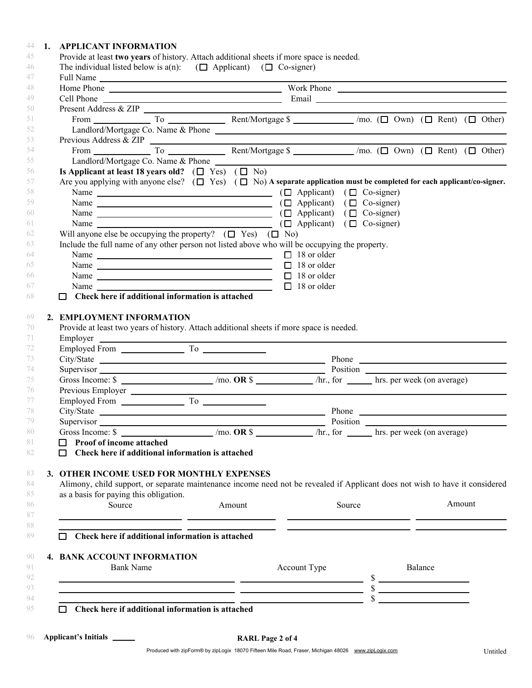## 44 **1. APPLICANT INFORMATION**

|                                                                                                                                                                                                                                                                                                                                                                                                                                                                            | Full Name                                                                                                             |                                                                                                                                                                                                                               |        |  |         |        |  |
|----------------------------------------------------------------------------------------------------------------------------------------------------------------------------------------------------------------------------------------------------------------------------------------------------------------------------------------------------------------------------------------------------------------------------------------------------------------------------|-----------------------------------------------------------------------------------------------------------------------|-------------------------------------------------------------------------------------------------------------------------------------------------------------------------------------------------------------------------------|--------|--|---------|--------|--|
| Home Phone Lawrence and Work Phone Lawrence and Work Phone Lawrence and Work Phone Lawrence and Work Phone Lawrence and Work Phone Lawrence and Work Phone Lawrence and Work Phone Lawrence and Work Phone Lawrence and Work P                                                                                                                                                                                                                                             |                                                                                                                       |                                                                                                                                                                                                                               |        |  |         |        |  |
|                                                                                                                                                                                                                                                                                                                                                                                                                                                                            |                                                                                                                       |                                                                                                                                                                                                                               |        |  |         |        |  |
| Present Address & ZIP $\overline{\phantom{a}}$                                                                                                                                                                                                                                                                                                                                                                                                                             |                                                                                                                       |                                                                                                                                                                                                                               |        |  |         |        |  |
| From To To Rent/Mortgage \$ __________ /mo. ( $\square$ Own) ( $\square$ Rent) ( $\square$ Other)                                                                                                                                                                                                                                                                                                                                                                          |                                                                                                                       |                                                                                                                                                                                                                               |        |  |         |        |  |
| Landlord/Mortgage Co. Name & Phone                                                                                                                                                                                                                                                                                                                                                                                                                                         |                                                                                                                       |                                                                                                                                                                                                                               |        |  |         |        |  |
| Previous Address & ZIP $\overline{a}$                                                                                                                                                                                                                                                                                                                                                                                                                                      |                                                                                                                       |                                                                                                                                                                                                                               |        |  |         |        |  |
|                                                                                                                                                                                                                                                                                                                                                                                                                                                                            |                                                                                                                       |                                                                                                                                                                                                                               |        |  |         |        |  |
| Landlord/Mortgage Co. Name & Phone                                                                                                                                                                                                                                                                                                                                                                                                                                         |                                                                                                                       |                                                                                                                                                                                                                               |        |  |         |        |  |
| Is Applicant at least 18 years old? $(\Box Yes) (\Box No)$                                                                                                                                                                                                                                                                                                                                                                                                                 |                                                                                                                       |                                                                                                                                                                                                                               |        |  |         |        |  |
| Are you applying with anyone else? $(\Box Yes) (\Box No)$ A separate application must be completed for each applicant/co-signer.                                                                                                                                                                                                                                                                                                                                           |                                                                                                                       |                                                                                                                                                                                                                               |        |  |         |        |  |
|                                                                                                                                                                                                                                                                                                                                                                                                                                                                            |                                                                                                                       |                                                                                                                                                                                                                               |        |  |         |        |  |
|                                                                                                                                                                                                                                                                                                                                                                                                                                                                            |                                                                                                                       |                                                                                                                                                                                                                               |        |  |         |        |  |
| Name $\Box$ ( $\Box$ Applicant) ( $\Box$ Co-signer)                                                                                                                                                                                                                                                                                                                                                                                                                        |                                                                                                                       |                                                                                                                                                                                                                               |        |  |         |        |  |
| Name $\Box$ ( $\Box$ Applicant) ( $\Box$ Co-signer)                                                                                                                                                                                                                                                                                                                                                                                                                        |                                                                                                                       |                                                                                                                                                                                                                               |        |  |         |        |  |
| Will anyone else be occupying the property? $(\Box Yes)$ $(\Box No)$                                                                                                                                                                                                                                                                                                                                                                                                       |                                                                                                                       |                                                                                                                                                                                                                               |        |  |         |        |  |
| Include the full name of any other person not listed above who will be occupying the property.                                                                                                                                                                                                                                                                                                                                                                             |                                                                                                                       |                                                                                                                                                                                                                               |        |  |         |        |  |
|                                                                                                                                                                                                                                                                                                                                                                                                                                                                            |                                                                                                                       | $\Box$ 18 or older                                                                                                                                                                                                            |        |  |         |        |  |
| Name                                                                                                                                                                                                                                                                                                                                                                                                                                                                       |                                                                                                                       | $\Box$ 18 or older                                                                                                                                                                                                            |        |  |         |        |  |
|                                                                                                                                                                                                                                                                                                                                                                                                                                                                            |                                                                                                                       | $\Box$ 18 or older                                                                                                                                                                                                            |        |  |         |        |  |
| Name $\frac{1}{\sqrt{1-\frac{1}{2}}}\left\{ \frac{1}{2}, \frac{1}{2}, \frac{1}{2}, \frac{1}{2}, \frac{1}{2}, \frac{1}{2}, \frac{1}{2}, \frac{1}{2}, \frac{1}{2}, \frac{1}{2}, \frac{1}{2}, \frac{1}{2}, \frac{1}{2}, \frac{1}{2}, \frac{1}{2}, \frac{1}{2}, \frac{1}{2}, \frac{1}{2}, \frac{1}{2}, \frac{1}{2}, \frac{1}{2}, \frac{1}{2}, \frac{1}{2}, \frac{1}{2}, \frac{1}{2}, \frac{1}{2}, \frac{1}{2}, \frac{1}{2$<br>Check here if additional information is attached |                                                                                                                       | $\Box$ 18 or older                                                                                                                                                                                                            |        |  |         |        |  |
| Employer                                                                                                                                                                                                                                                                                                                                                                                                                                                                   |                                                                                                                       | the control of the control of the control of the control of the control of the control of the control of the control of the control of the control of the control of the control of the control of the control of the control |        |  |         |        |  |
|                                                                                                                                                                                                                                                                                                                                                                                                                                                                            |                                                                                                                       |                                                                                                                                                                                                                               |        |  |         |        |  |
|                                                                                                                                                                                                                                                                                                                                                                                                                                                                            |                                                                                                                       |                                                                                                                                                                                                                               |        |  |         |        |  |
| Previous Employer                                                                                                                                                                                                                                                                                                                                                                                                                                                          | <u> 1989 - Johann Barnett, mars et al. 1989 - Anna anno 1989 - Anna ann an t-Anna ann an t-Anna ann an t-Anna ann</u> |                                                                                                                                                                                                                               |        |  |         |        |  |
|                                                                                                                                                                                                                                                                                                                                                                                                                                                                            |                                                                                                                       |                                                                                                                                                                                                                               |        |  |         |        |  |
|                                                                                                                                                                                                                                                                                                                                                                                                                                                                            |                                                                                                                       |                                                                                                                                                                                                                               |        |  |         |        |  |
|                                                                                                                                                                                                                                                                                                                                                                                                                                                                            |                                                                                                                       |                                                                                                                                                                                                                               |        |  |         |        |  |
|                                                                                                                                                                                                                                                                                                                                                                                                                                                                            |                                                                                                                       |                                                                                                                                                                                                                               |        |  |         |        |  |
| $\Box$ Proof of income attached<br>$\Box$ Check here if additional information is attached                                                                                                                                                                                                                                                                                                                                                                                 |                                                                                                                       |                                                                                                                                                                                                                               |        |  |         |        |  |
| 3. OTHER INCOME USED FOR MONTHLY EXPENSES                                                                                                                                                                                                                                                                                                                                                                                                                                  |                                                                                                                       |                                                                                                                                                                                                                               |        |  |         |        |  |
| Alimony, child support, or separate maintenance income need not be revealed if Applicant does not wish to have it considered                                                                                                                                                                                                                                                                                                                                               |                                                                                                                       |                                                                                                                                                                                                                               |        |  |         |        |  |
| as a basis for paying this obligation.                                                                                                                                                                                                                                                                                                                                                                                                                                     |                                                                                                                       |                                                                                                                                                                                                                               |        |  |         |        |  |
| Source                                                                                                                                                                                                                                                                                                                                                                                                                                                                     | Amount                                                                                                                |                                                                                                                                                                                                                               | Source |  |         | Amount |  |
|                                                                                                                                                                                                                                                                                                                                                                                                                                                                            |                                                                                                                       |                                                                                                                                                                                                                               |        |  |         |        |  |
|                                                                                                                                                                                                                                                                                                                                                                                                                                                                            |                                                                                                                       |                                                                                                                                                                                                                               |        |  |         |        |  |
| $\Box$ Check here if additional information is attached                                                                                                                                                                                                                                                                                                                                                                                                                    |                                                                                                                       |                                                                                                                                                                                                                               |        |  |         |        |  |
|                                                                                                                                                                                                                                                                                                                                                                                                                                                                            |                                                                                                                       |                                                                                                                                                                                                                               |        |  |         |        |  |
| 4. BANK ACCOUNT INFORMATION                                                                                                                                                                                                                                                                                                                                                                                                                                                |                                                                                                                       |                                                                                                                                                                                                                               |        |  |         |        |  |
| <b>Bank Name</b>                                                                                                                                                                                                                                                                                                                                                                                                                                                           |                                                                                                                       | Account Type                                                                                                                                                                                                                  |        |  | Balance |        |  |
|                                                                                                                                                                                                                                                                                                                                                                                                                                                                            |                                                                                                                       |                                                                                                                                                                                                                               |        |  |         |        |  |
| $\frac{\text{S}}{\text{S}}$                                                                                                                                                                                                                                                                                                                                                                                                                                                |                                                                                                                       |                                                                                                                                                                                                                               |        |  |         |        |  |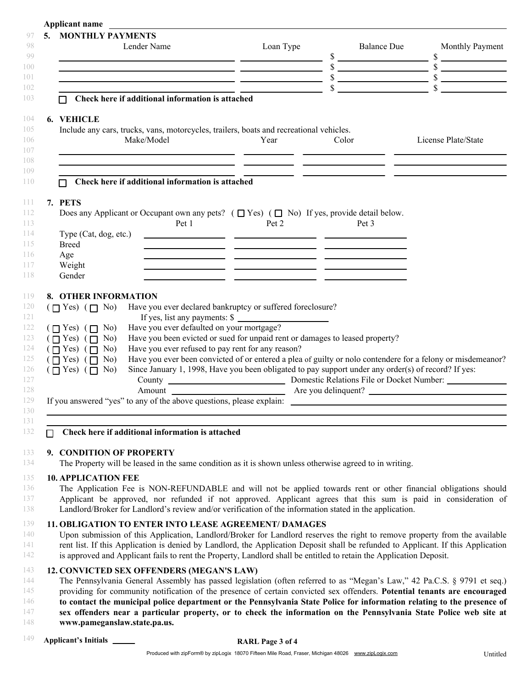| 5. | <b>MONTHLY PAYMENTS</b><br>Lender Name                                                                                                                                                                                                                                                                                                                                                                                                                                                                                                                                                                                                                                                                                                                              | Loan Type |       | <b>Balance Due</b> | Monthly Payment                                      |
|----|---------------------------------------------------------------------------------------------------------------------------------------------------------------------------------------------------------------------------------------------------------------------------------------------------------------------------------------------------------------------------------------------------------------------------------------------------------------------------------------------------------------------------------------------------------------------------------------------------------------------------------------------------------------------------------------------------------------------------------------------------------------------|-----------|-------|--------------------|------------------------------------------------------|
|    | $\frac{s}{s}$ $\frac{s}{s}$ $\frac{s}{s}$ $\frac{s}{s}$ $\frac{s}{s}$ $\frac{s}{s}$ $\frac{s}{s}$ $\frac{s}{s}$ $\frac{s}{s}$ $\frac{s}{s}$ $\frac{s}{s}$ $\frac{s}{s}$ $\frac{s}{s}$ $\frac{s}{s}$ $\frac{s}{s}$ $\frac{s}{s}$ $\frac{s}{s}$ $\frac{s}{s}$ $\frac{s}{s}$ $\frac{s}{s}$ $\frac{s}{s}$ $\frac{s}{s}$ $\frac{s}{s}$ $\frac{s}{s}$ $\frac{s}{$                                                                                                                                                                                                                                                                                                                                                                                                         |           |       |                    |                                                      |
|    | Check here if additional information is attached                                                                                                                                                                                                                                                                                                                                                                                                                                                                                                                                                                                                                                                                                                                    |           |       |                    |                                                      |
|    | <b>6. VEHICLE</b>                                                                                                                                                                                                                                                                                                                                                                                                                                                                                                                                                                                                                                                                                                                                                   |           |       |                    |                                                      |
|    | Include any cars, trucks, vans, motorcycles, trailers, boats and recreational vehicles.<br>Make/Model<br><u> 2000 - Andrea Andrew American (h. 2001).</u>                                                                                                                                                                                                                                                                                                                                                                                                                                                                                                                                                                                                           | Year      | Color |                    | License Plate/State                                  |
|    | Check here if additional information is attached                                                                                                                                                                                                                                                                                                                                                                                                                                                                                                                                                                                                                                                                                                                    |           |       |                    | <u> 1999 - Jan James Sand, Amerikaans (h. 1989).</u> |
|    | 7. PETS<br>Does any Applicant or Occupant own any pets? $(\Box$ Yes) $(\Box$ No) If yes, provide detail below.<br>Pet 1                                                                                                                                                                                                                                                                                                                                                                                                                                                                                                                                                                                                                                             | Pet 2     |       | Pet 3              |                                                      |
|    | Type (Cat, dog, etc.)<br><b>Breed</b>                                                                                                                                                                                                                                                                                                                                                                                                                                                                                                                                                                                                                                                                                                                               |           |       |                    |                                                      |
|    | Age<br>Weight<br><u> 1980 - John Harry Harry Harry Harry Harry Harry Harry Harry Harry Harry Harry Harry Harry Harry Harry Harry H</u><br>Gender<br><u> 1990 - Jan James James (h. 1980).</u>                                                                                                                                                                                                                                                                                                                                                                                                                                                                                                                                                                       |           |       |                    |                                                      |
|    | $(\Box Y$ Yes) $(\Box N$ o<br>Have you ever declared bankruptcy or suffered foreclosure?<br>If yes, list any payments: \$<br>Have you ever defaulted on your mortgage?<br>$(\Box$ Yes) $(\Box$ No)<br>Have you been evicted or sued for unpaid rent or damages to leased property?<br>$(\Box Yes) (\Box No)$<br>Have you ever refused to pay rent for any reason?<br>$(\Box Yes) (\Box No)$<br>Have you ever been convicted of or entered a plea of guilty or nolo contendere for a felony or misdemeanor?<br>$(\Box Y$ Yes) $(\Box N0)$<br>$(\Box Y$ Yes) $(\Box N$<br>Since January 1, 1998, Have you been obligated to pay support under any order(s) of record? If yes:<br>County<br>Monestic Relations File or Docket Number:<br>Amount<br>Are you delinquent? |           |       |                    |                                                      |
|    |                                                                                                                                                                                                                                                                                                                                                                                                                                                                                                                                                                                                                                                                                                                                                                     |           |       |                    |                                                      |
| П  | Check here if additional information is attached                                                                                                                                                                                                                                                                                                                                                                                                                                                                                                                                                                                                                                                                                                                    |           |       |                    |                                                      |
|    | 9. CONDITION OF PROPERTY<br>The Property will be leased in the same condition as it is shown unless otherwise agreed to in writing.                                                                                                                                                                                                                                                                                                                                                                                                                                                                                                                                                                                                                                 |           |       |                    |                                                      |
|    | <b>10. APPLICATION FEE</b><br>The Application Fee is NON-REFUNDABLE and will not be applied towards rent or other financial obligations should<br>Applicant be approved, nor refunded if not approved. Applicant agrees that this sum is paid in consideration of<br>Landlord/Broker for Landlord's review and/or verification of the information stated in the application.                                                                                                                                                                                                                                                                                                                                                                                        |           |       |                    |                                                      |
|    | 11. OBLIGATION TO ENTER INTO LEASE AGREEMENT/ DAMAGES<br>Upon submission of this Application, Landlord/Broker for Landlord reserves the right to remove property from the available<br>rent list. If this Application is denied by Landlord, the Application Deposit shall be refunded to Applicant. If this Application<br>is approved and Applicant fails to rent the Property, Landlord shall be entitled to retain the Application Deposit.                                                                                                                                                                                                                                                                                                                     |           |       |                    |                                                      |
|    | 12. CONVICTED SEX OFFENDERS (MEGAN'S LAW)<br>The Pennsylvania General Assembly has passed legislation (often referred to as "Megan's Law," 42 Pa.C.S. § 9791 et seq.)<br>providing for community notification of the presence of certain convicted sex offenders. Potential tenants are encouraged<br>to contact the municipal police department or the Pennsylvania State Police for information relating to the presence of<br>sex offenders near a particular property, or to check the information on the Pennsylvania State Police web site at                                                                                                                                                                                                                 |           |       |                    |                                                      |
|    | www.pameganslaw.state.pa.us.                                                                                                                                                                                                                                                                                                                                                                                                                                                                                                                                                                                                                                                                                                                                        |           |       |                    |                                                      |

**Applicant name**